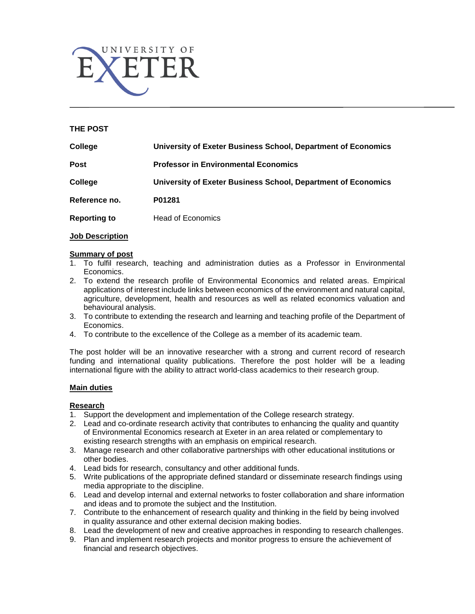

## **THE POST**

| College             | University of Exeter Business School, Department of Economics |
|---------------------|---------------------------------------------------------------|
| Post                | <b>Professor in Environmental Economics</b>                   |
| College             | University of Exeter Business School, Department of Economics |
| Reference no.       | P01281                                                        |
| <b>Reporting to</b> | <b>Head of Economics</b>                                      |

#### **Job Description**

#### **Summary of post**

- 1. To fulfil research, teaching and administration duties as a Professor in Environmental Economics.
- 2. To extend the research profile of Environmental Economics and related areas. Empirical applications of interest include links between economics of the environment and natural capital, agriculture, development, health and resources as well as related economics valuation and behavioural analysis.
- 3. To contribute to extending the research and learning and teaching profile of the Department of Economics.
- 4. To contribute to the excellence of the College as a member of its academic team.

The post holder will be an innovative researcher with a strong and current record of research funding and international quality publications. Therefore the post holder will be a leading international figure with the ability to attract world-class academics to their research group.

### **Main duties**

### **Research**

- 1. Support the development and implementation of the College research strategy.
- 2. Lead and co-ordinate research activity that contributes to enhancing the quality and quantity of Environmental Economics research at Exeter in an area related or complementary to existing research strengths with an emphasis on empirical research.
- 3. Manage research and other collaborative partnerships with other educational institutions or other bodies.
- 4. Lead bids for research, consultancy and other additional funds.
- 5. Write publications of the appropriate defined standard or disseminate research findings using media appropriate to the discipline.
- 6. Lead and develop internal and external networks to foster collaboration and share information and ideas and to promote the subject and the Institution.
- 7. Contribute to the enhancement of research quality and thinking in the field by being involved in quality assurance and other external decision making bodies.
- 8. Lead the development of new and creative approaches in responding to research challenges.
- 9. Plan and implement research projects and monitor progress to ensure the achievement of financial and research objectives.